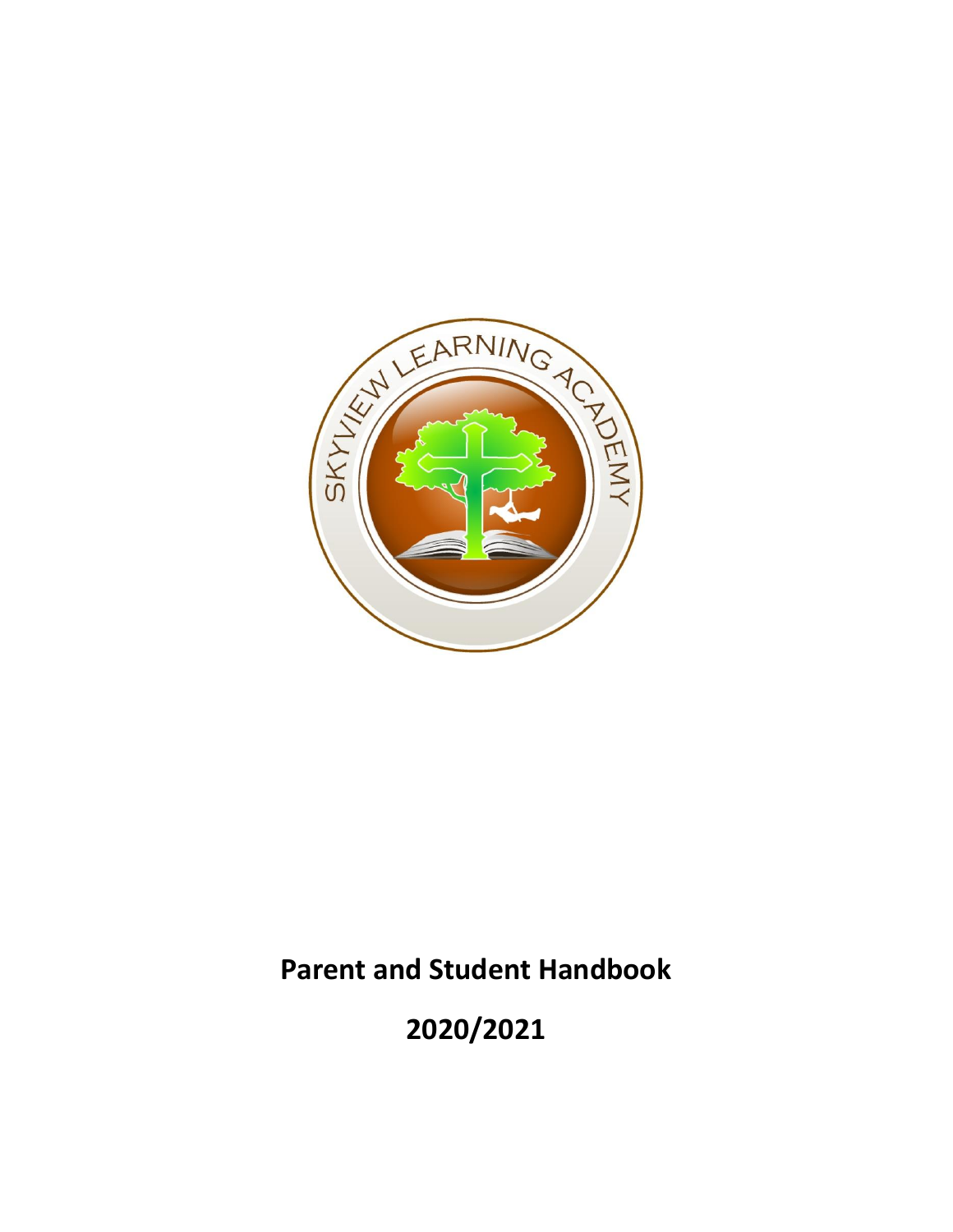

# **Parent and Student Handbook**

**2020/2021**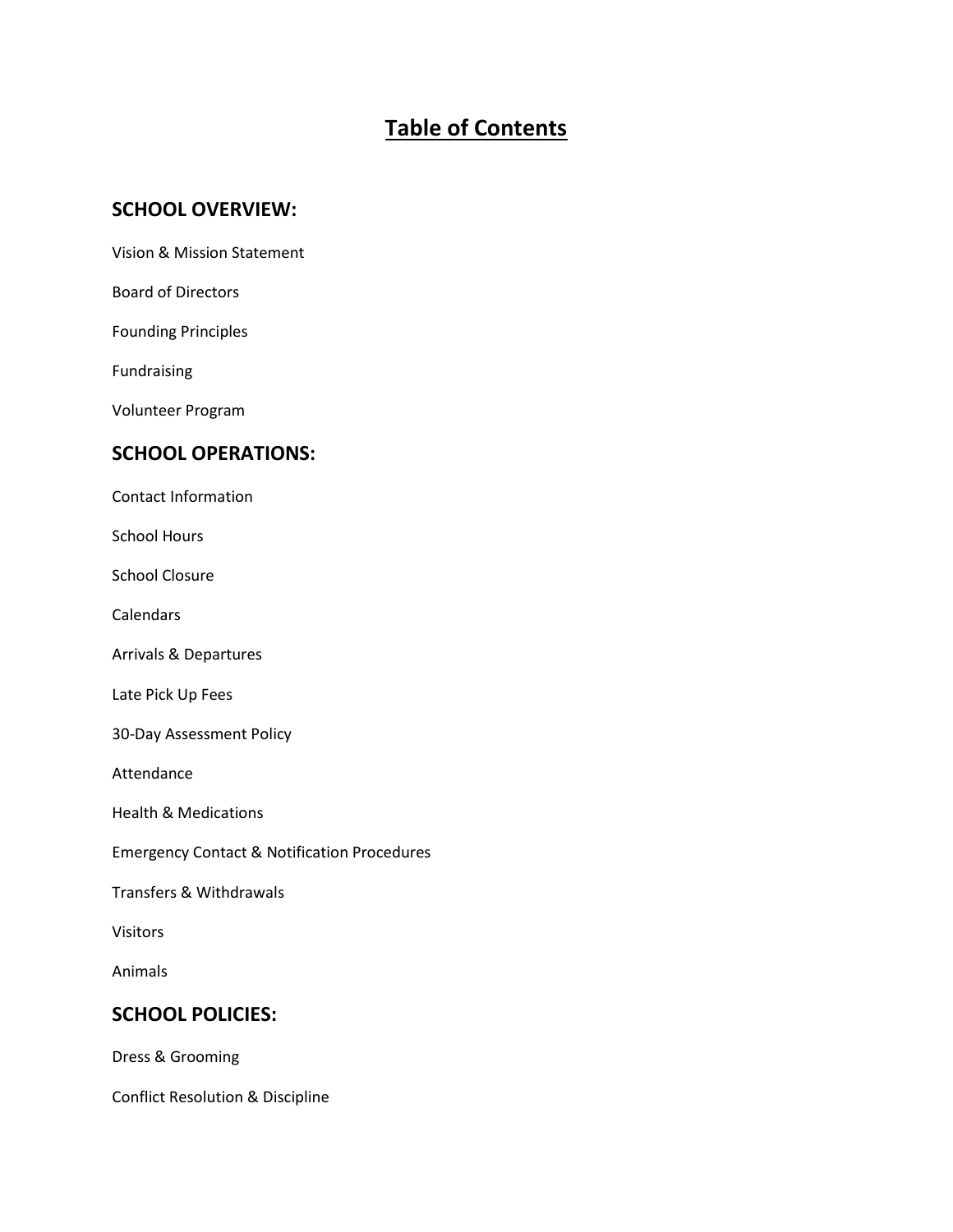# **Table of Contents**

### **SCHOOL OVERVIEW:**

Vision & Mission Statement

Board of Directors

Founding Principles

Fundraising

Volunteer Program

#### **SCHOOL OPERATIONS:**

Contact Information

School Hours

School Closure

**Calendars** 

Arrivals & Departures

Late Pick Up Fees

30-Day Assessment Policy

Attendance

Health & Medications

Emergency Contact & Notification Procedures

Transfers & Withdrawals

Visitors

Animals

#### **SCHOOL POLICIES:**

Dress & Grooming

Conflict Resolution & Discipline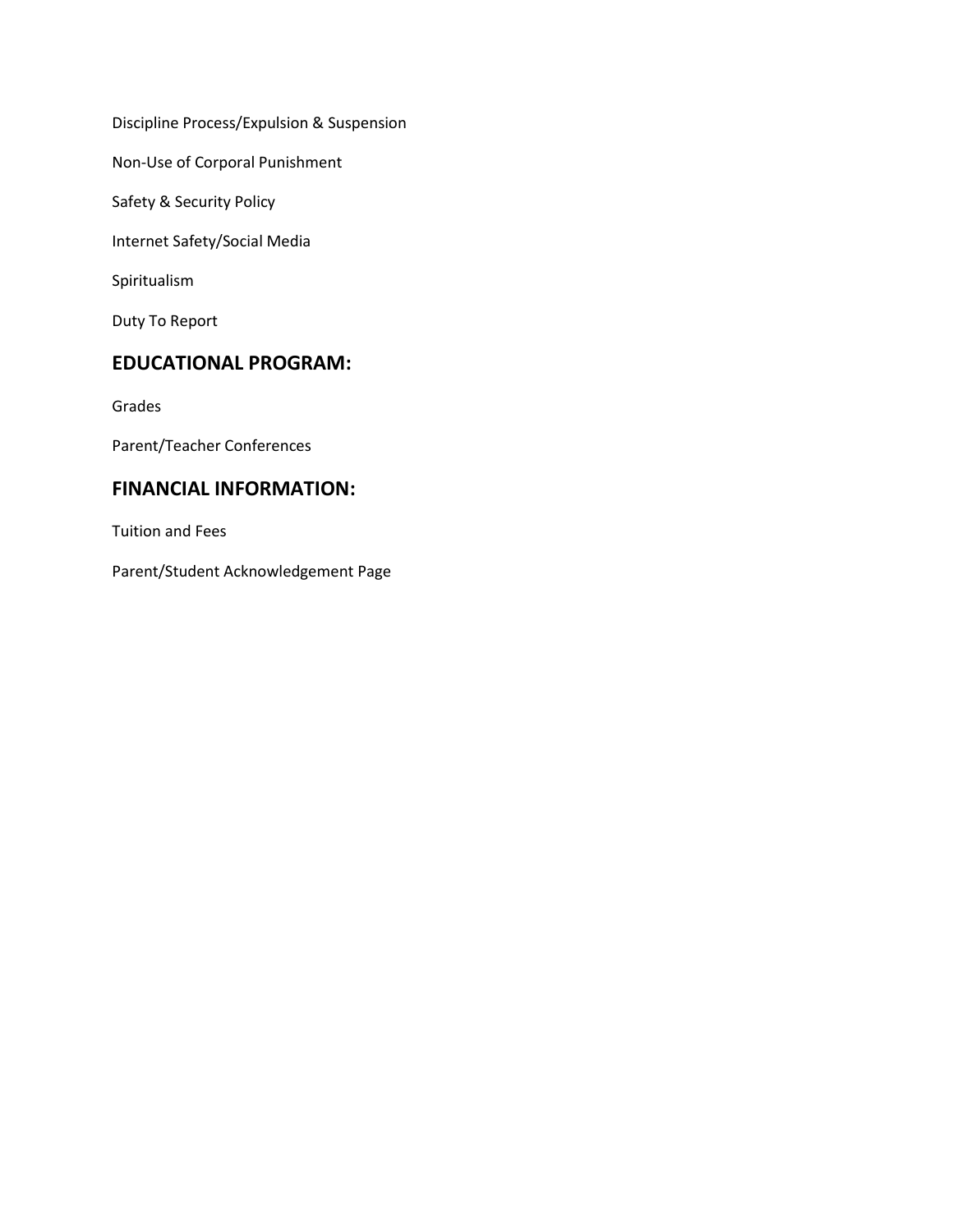Discipline Process/Expulsion & Suspension

Non-Use of Corporal Punishment

Safety & Security Policy

Internet Safety/Social Media

Spiritualism

Duty To Report

# **EDUCATIONAL PROGRAM:**

Grades

Parent/Teacher Conferences

## **FINANCIAL INFORMATION:**

Tuition and Fees

Parent/Student Acknowledgement Page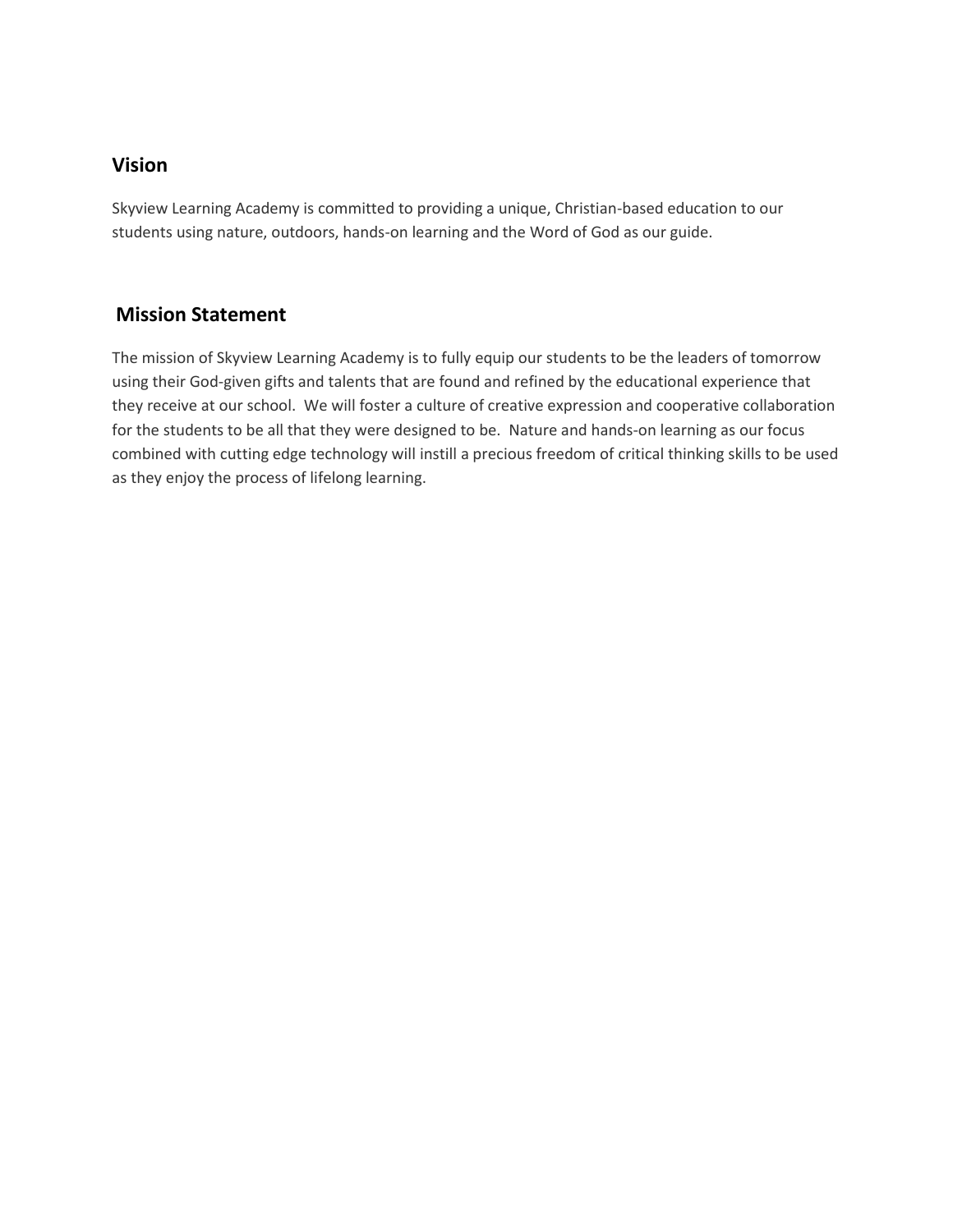## **Vision**

Skyview Learning Academy is committed to providing a unique, Christian-based education to our students using nature, outdoors, hands-on learning and the Word of God as our guide.

# **Mission Statement**

The mission of Skyview Learning Academy is to fully equip our students to be the leaders of tomorrow using their God-given gifts and talents that are found and refined by the educational experience that they receive at our school. We will foster a culture of creative expression and cooperative collaboration for the students to be all that they were designed to be. Nature and hands-on learning as our focus combined with cutting edge technology will instill a precious freedom of critical thinking skills to be used as they enjoy the process of lifelong learning.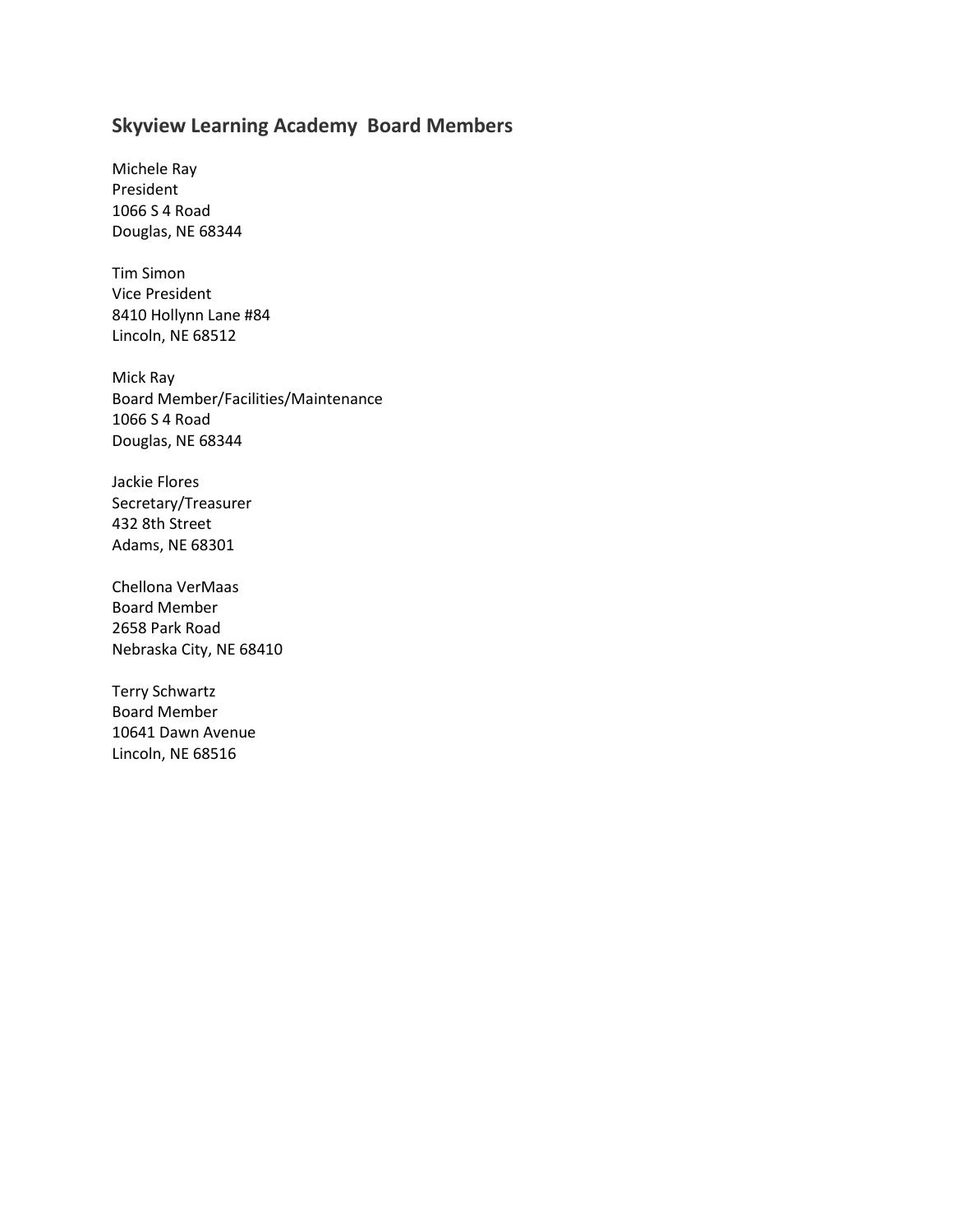# **Skyview Learning Academy Board Members**

Michele Ray President 1066 S 4 Road Douglas, NE 68344

Tim Simon Vice President 8410 Hollynn Lane #84 Lincoln, NE 68512

Mick Ray Board Member/Facilities/Maintenance 1066 S 4 Road Douglas, NE 68344

Jackie Flores Secretary/Treasurer 432 8th Street Adams, NE 68301

Chellona VerMaas Board Member 2658 Park Road Nebraska City, NE 68410

Terry Schwartz Board Member 10641 Dawn Avenue Lincoln, NE 68516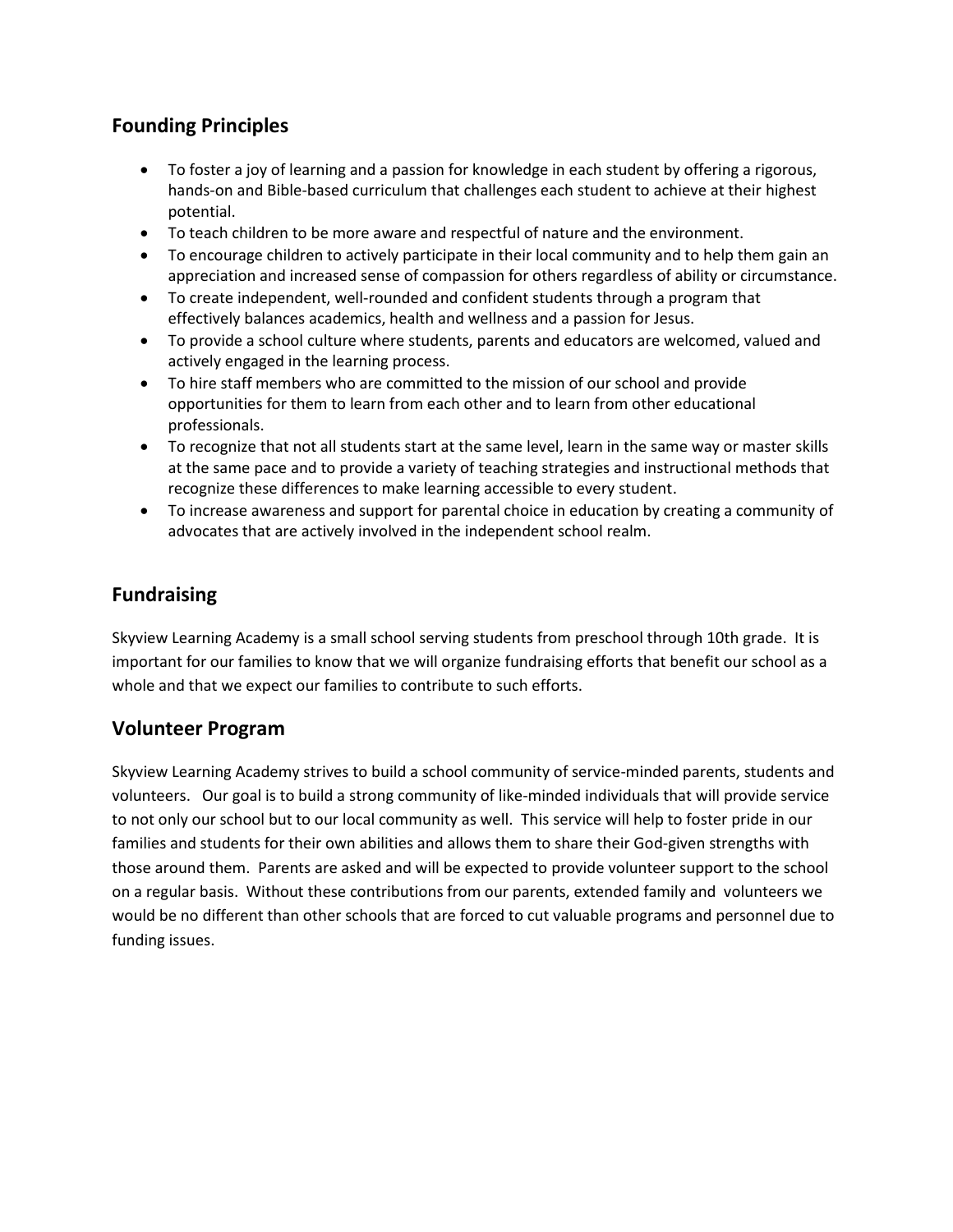# **Founding Principles**

- To foster a joy of learning and a passion for knowledge in each student by offering a rigorous, hands-on and Bible-based curriculum that challenges each student to achieve at their highest potential.
- To teach children to be more aware and respectful of nature and the environment.
- To encourage children to actively participate in their local community and to help them gain an appreciation and increased sense of compassion for others regardless of ability or circumstance.
- To create independent, well-rounded and confident students through a program that effectively balances academics, health and wellness and a passion for Jesus.
- To provide a school culture where students, parents and educators are welcomed, valued and actively engaged in the learning process.
- To hire staff members who are committed to the mission of our school and provide opportunities for them to learn from each other and to learn from other educational professionals.
- To recognize that not all students start at the same level, learn in the same way or master skills at the same pace and to provide a variety of teaching strategies and instructional methods that recognize these differences to make learning accessible to every student.
- To increase awareness and support for parental choice in education by creating a community of advocates that are actively involved in the independent school realm.

# **Fundraising**

Skyview Learning Academy is a small school serving students from preschool through 10th grade. It is important for our families to know that we will organize fundraising efforts that benefit our school as a whole and that we expect our families to contribute to such efforts.

# **Volunteer Program**

Skyview Learning Academy strives to build a school community of service-minded parents, students and volunteers. Our goal is to build a strong community of like-minded individuals that will provide service to not only our school but to our local community as well. This service will help to foster pride in our families and students for their own abilities and allows them to share their God-given strengths with those around them. Parents are asked and will be expected to provide volunteer support to the school on a regular basis. Without these contributions from our parents, extended family and volunteers we would be no different than other schools that are forced to cut valuable programs and personnel due to funding issues.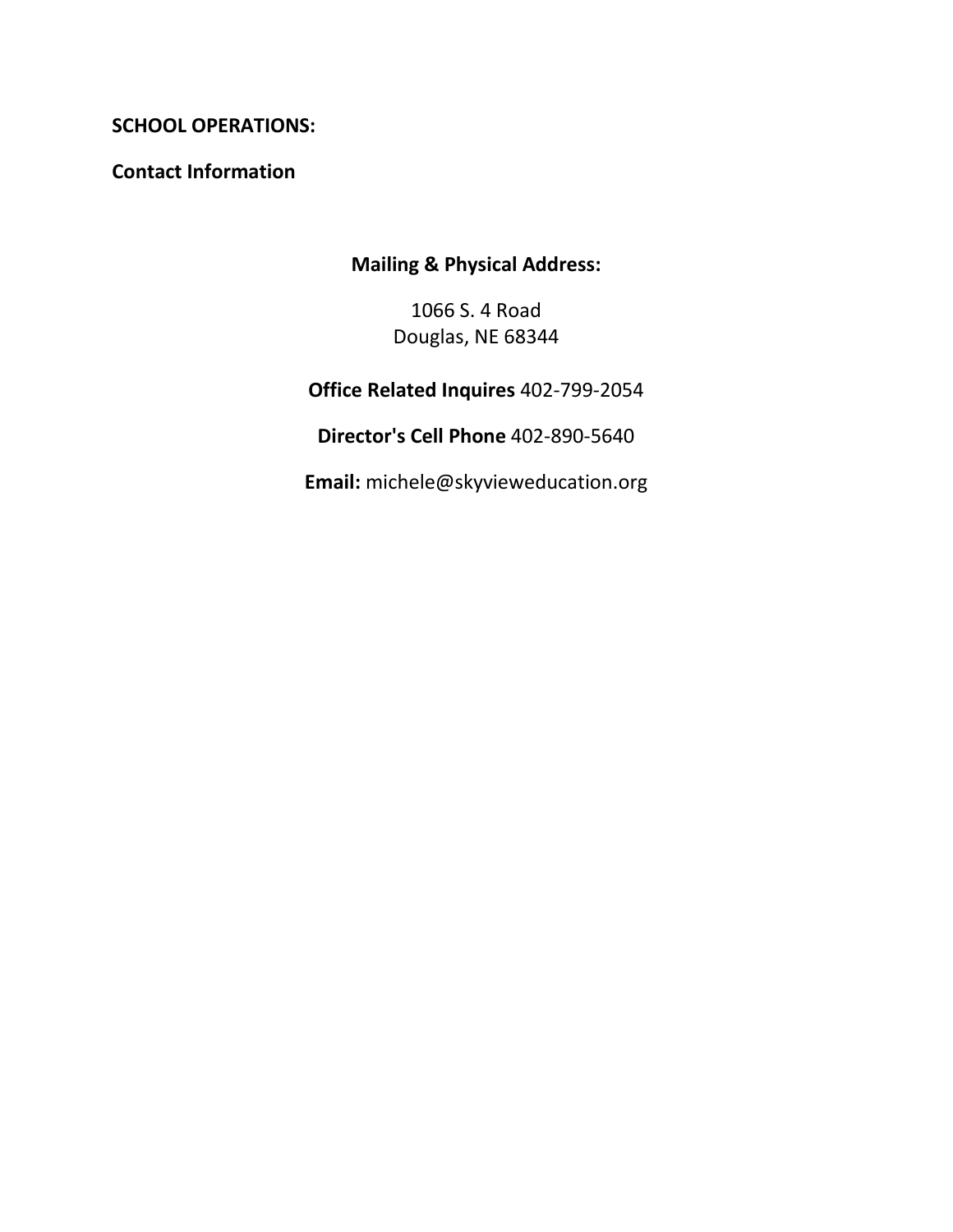# **SCHOOL OPERATIONS:**

**Contact Information**

# **Mailing & Physical Address:**

1066 S. 4 Road Douglas, NE 68344

**Office Related Inquires** 402-799-2054

**Director's Cell Phone** 402-890-5640

**Email:** michele@skyvieweducation.org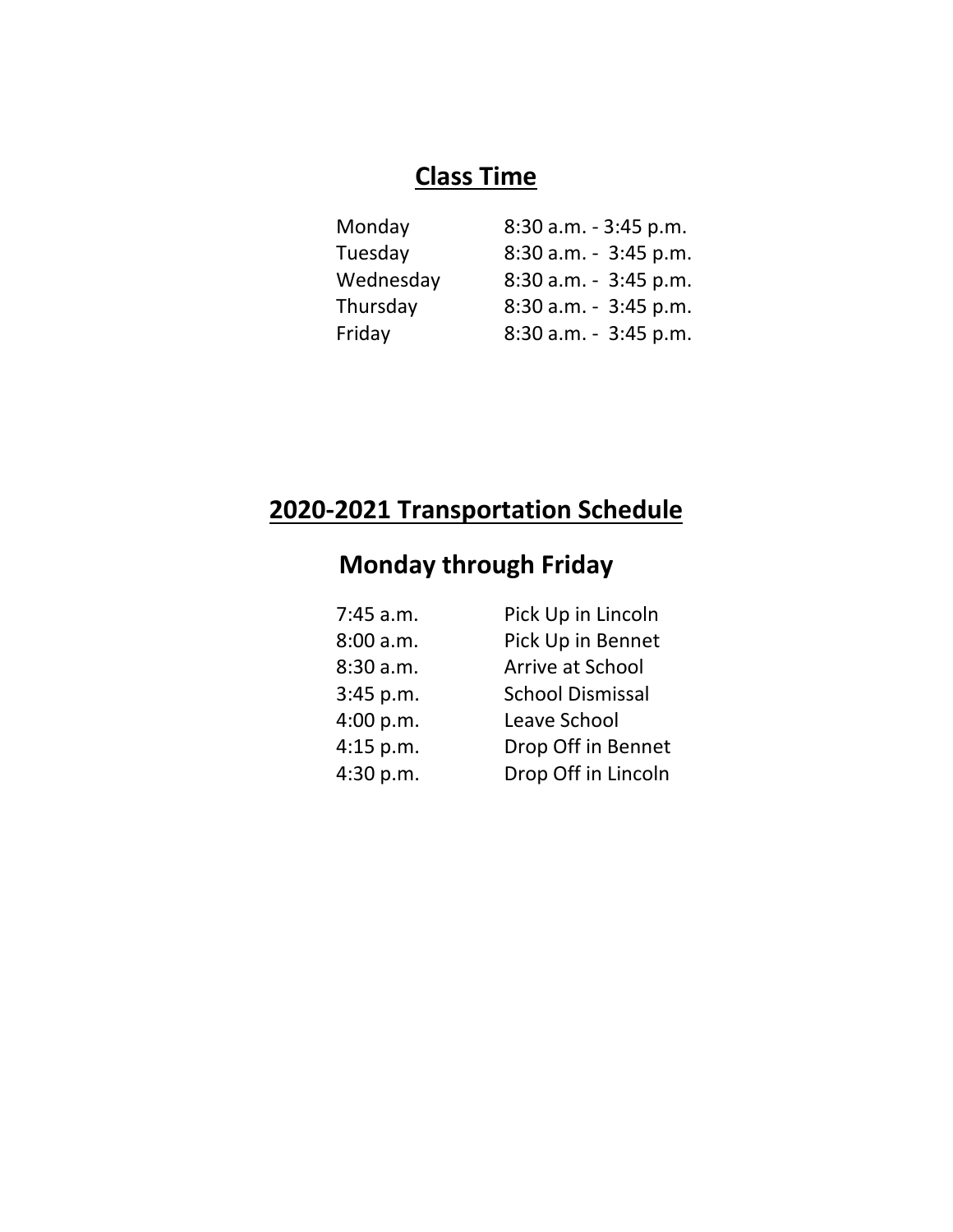# **Class Time**

| 8:30 a.m. - 3:45 p.m. |
|-----------------------|
| 8:30 a.m. - 3:45 p.m. |
| 8:30 a.m. - 3:45 p.m. |
| 8:30 a.m. - 3:45 p.m. |
| 8:30 a.m. - 3:45 p.m. |
|                       |

# **2020-2021 Transportation Schedule**

# **Monday through Friday**

| 7:45 a.m. | Pick Up in Lincoln      |
|-----------|-------------------------|
| 8:00 a.m. | Pick Up in Bennet       |
| 8:30 a.m. | Arrive at School        |
| 3:45 p.m. | <b>School Dismissal</b> |
| 4:00 p.m. | Leave School            |
| 4:15 p.m. | Drop Off in Bennet      |
| 4:30 p.m. | Drop Off in Lincoln     |
|           |                         |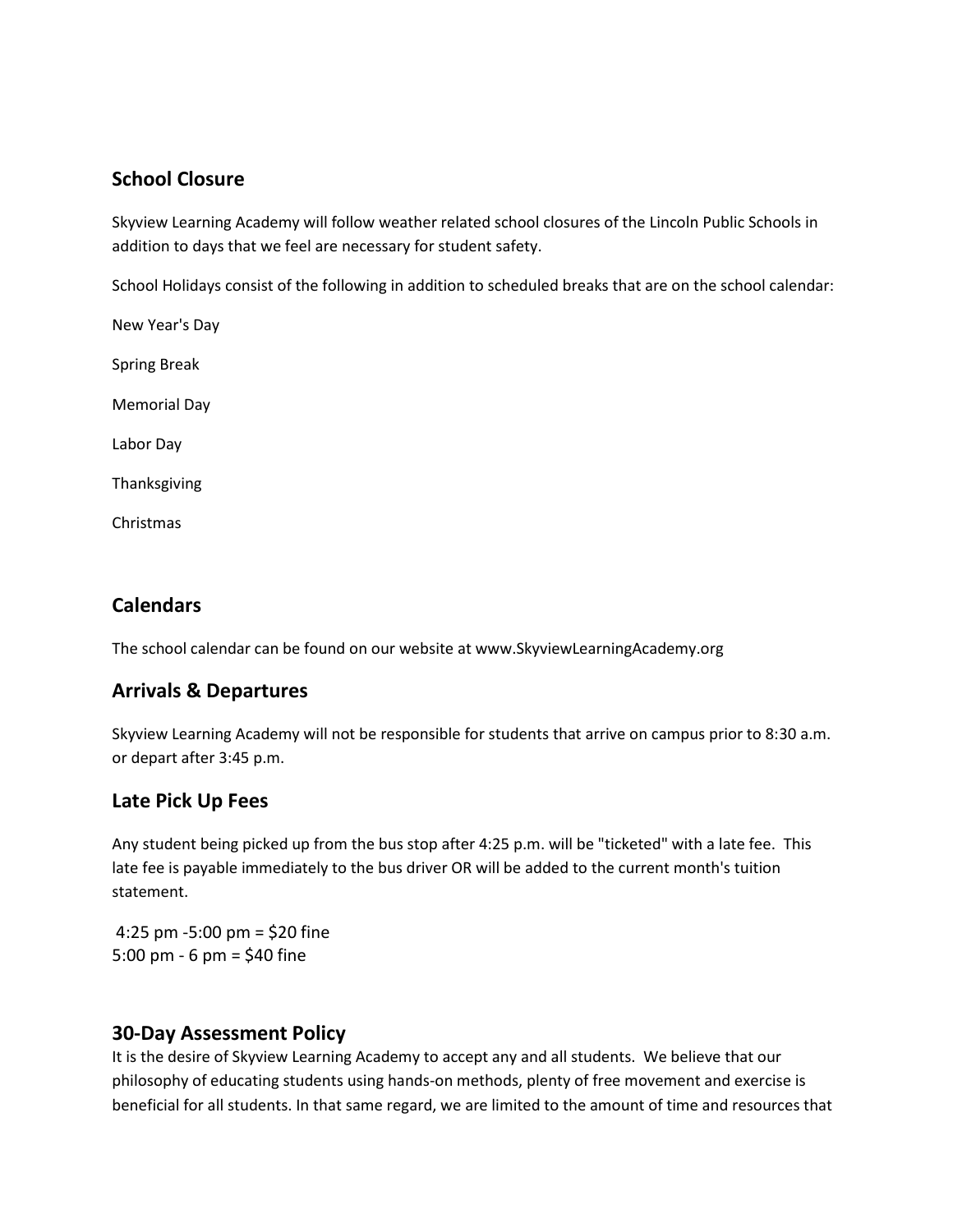# **School Closure**

Skyview Learning Academy will follow weather related school closures of the Lincoln Public Schools in addition to days that we feel are necessary for student safety.

School Holidays consist of the following in addition to scheduled breaks that are on the school calendar:

New Year's Day Spring Break Memorial Day Labor Day Thanksgiving

Christmas

# **Calendars**

The school calendar can be found on our website at www.SkyviewLearningAcademy.org

# **Arrivals & Departures**

Skyview Learning Academy will not be responsible for students that arrive on campus prior to 8:30 a.m. or depart after 3:45 p.m.

# **Late Pick Up Fees**

Any student being picked up from the bus stop after 4:25 p.m. will be "ticketed" with a late fee. This late fee is payable immediately to the bus driver OR will be added to the current month's tuition statement.

4:25 pm -5:00 pm = \$20 fine 5:00 pm - 6 pm = \$40 fine

# **30-Day Assessment Policy**

It is the desire of Skyview Learning Academy to accept any and all students. We believe that our philosophy of educating students using hands-on methods, plenty of free movement and exercise is beneficial for all students. In that same regard, we are limited to the amount of time and resources that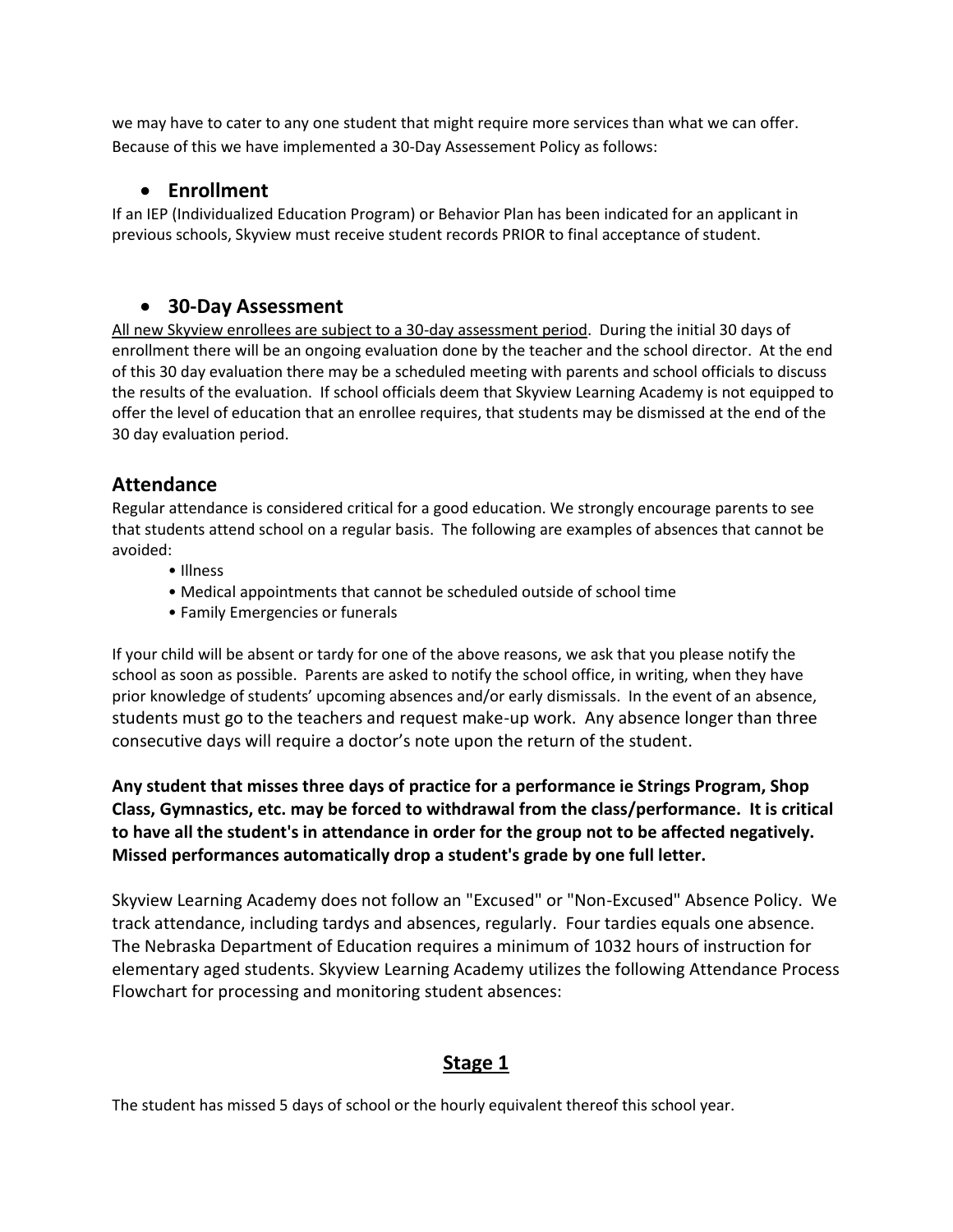we may have to cater to any one student that might require more services than what we can offer. Because of this we have implemented a 30-Day Assessement Policy as follows:

# • **Enrollment**

If an IEP (Individualized Education Program) or Behavior Plan has been indicated for an applicant in previous schools, Skyview must receive student records PRIOR to final acceptance of student.

## • **30-Day Assessment**

All new Skyview enrollees are subject to a 30-day assessment period. During the initial 30 days of enrollment there will be an ongoing evaluation done by the teacher and the school director. At the end of this 30 day evaluation there may be a scheduled meeting with parents and school officials to discuss the results of the evaluation. If school officials deem that Skyview Learning Academy is not equipped to offer the level of education that an enrollee requires, that students may be dismissed at the end of the 30 day evaluation period.

# **Attendance**

Regular attendance is considered critical for a good education. We strongly encourage parents to see that students attend school on a regular basis. The following are examples of absences that cannot be avoided:

- Illness
- Medical appointments that cannot be scheduled outside of school time
- Family Emergencies or funerals

If your child will be absent or tardy for one of the above reasons, we ask that you please notify the school as soon as possible. Parents are asked to notify the school office, in writing, when they have prior knowledge of students' upcoming absences and/or early dismissals. In the event of an absence, students must go to the teachers and request make-up work. Any absence longer than three consecutive days will require a doctor's note upon the return of the student.

**Any student that misses three days of practice for a performance ie Strings Program, Shop Class, Gymnastics, etc. may be forced to withdrawal from the class/performance. It is critical to have all the student's in attendance in order for the group not to be affected negatively. Missed performances automatically drop a student's grade by one full letter.**

Skyview Learning Academy does not follow an "Excused" or "Non-Excused" Absence Policy. We track attendance, including tardys and absences, regularly. Four tardies equals one absence. The Nebraska Department of Education requires a minimum of 1032 hours of instruction for elementary aged students. Skyview Learning Academy utilizes the following Attendance Process Flowchart for processing and monitoring student absences:

# **Stage 1**

The student has missed 5 days of school or the hourly equivalent thereof this school year.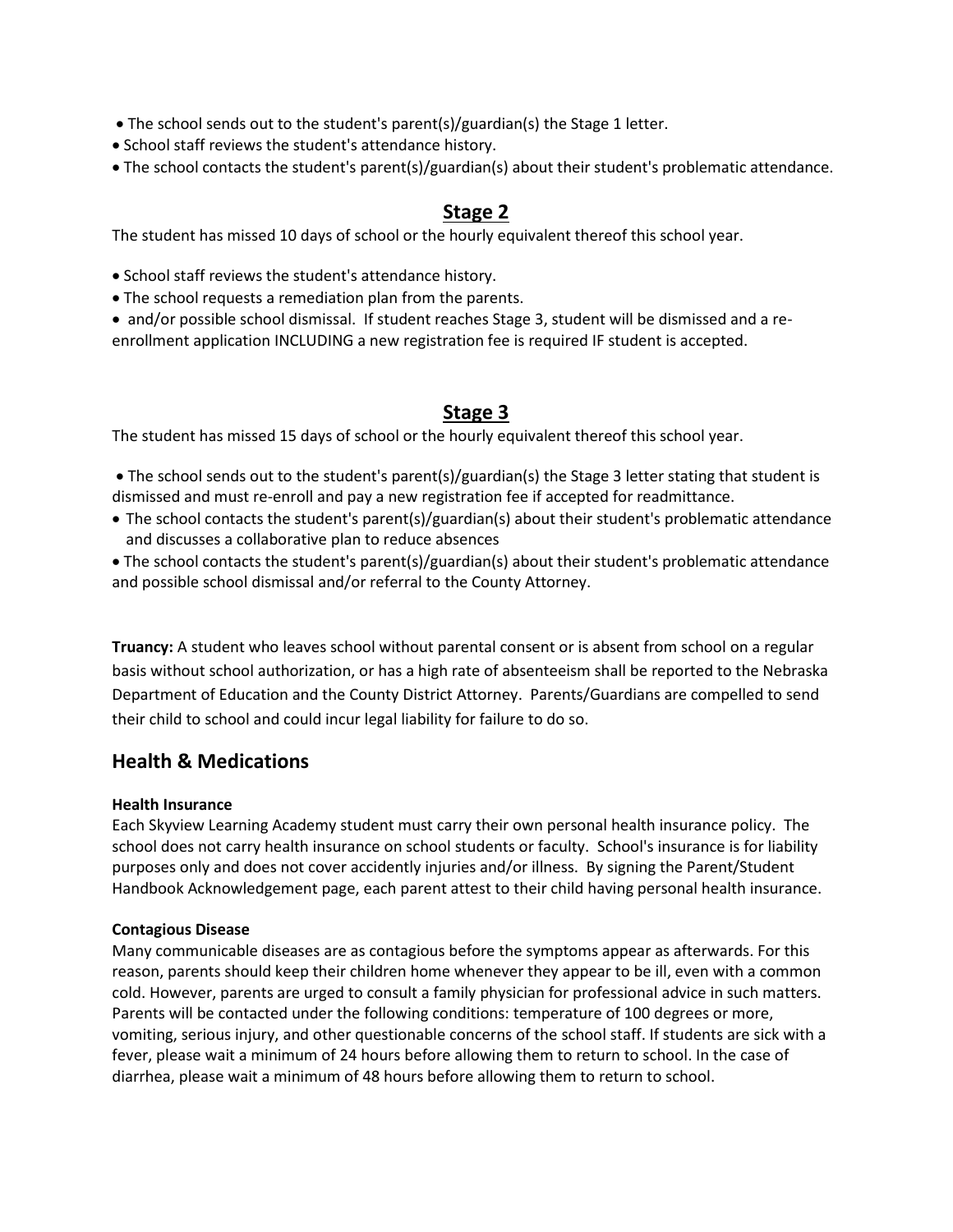- The school sends out to the student's parent(s)/guardian(s) the Stage 1 letter.
- School staff reviews the student's attendance history.
- The school contacts the student's parent(s)/guardian(s) about their student's problematic attendance.

### **Stage 2**

The student has missed 10 days of school or the hourly equivalent thereof this school year.

- School staff reviews the student's attendance history.
- The school requests a remediation plan from the parents.
- and/or possible school dismissal. If student reaches Stage 3, student will be dismissed and a reenrollment application INCLUDING a new registration fee is required IF student is accepted.

#### **Stage 3**

The student has missed 15 days of school or the hourly equivalent thereof this school year.

• The school sends out to the student's parent(s)/guardian(s) the Stage 3 letter stating that student is dismissed and must re-enroll and pay a new registration fee if accepted for readmittance.

- The school contacts the student's parent(s)/guardian(s) about their student's problematic attendance and discusses a collaborative plan to reduce absences
- The school contacts the student's parent(s)/guardian(s) about their student's problematic attendance and possible school dismissal and/or referral to the County Attorney.

**Truancy:** A student who leaves school without parental consent or is absent from school on a regular basis without school authorization, or has a high rate of absenteeism shall be reported to the Nebraska Department of Education and the County District Attorney. Parents/Guardians are compelled to send their child to school and could incur legal liability for failure to do so.

#### **Health & Medications**

#### **Health Insurance**

Each Skyview Learning Academy student must carry their own personal health insurance policy. The school does not carry health insurance on school students or faculty. School's insurance is for liability purposes only and does not cover accidently injuries and/or illness. By signing the Parent/Student Handbook Acknowledgement page, each parent attest to their child having personal health insurance.

#### **Contagious Disease**

Many communicable diseases are as contagious before the symptoms appear as afterwards. For this reason, parents should keep their children home whenever they appear to be ill, even with a common cold. However, parents are urged to consult a family physician for professional advice in such matters. Parents will be contacted under the following conditions: temperature of 100 degrees or more, vomiting, serious injury, and other questionable concerns of the school staff. If students are sick with a fever, please wait a minimum of 24 hours before allowing them to return to school. In the case of diarrhea, please wait a minimum of 48 hours before allowing them to return to school.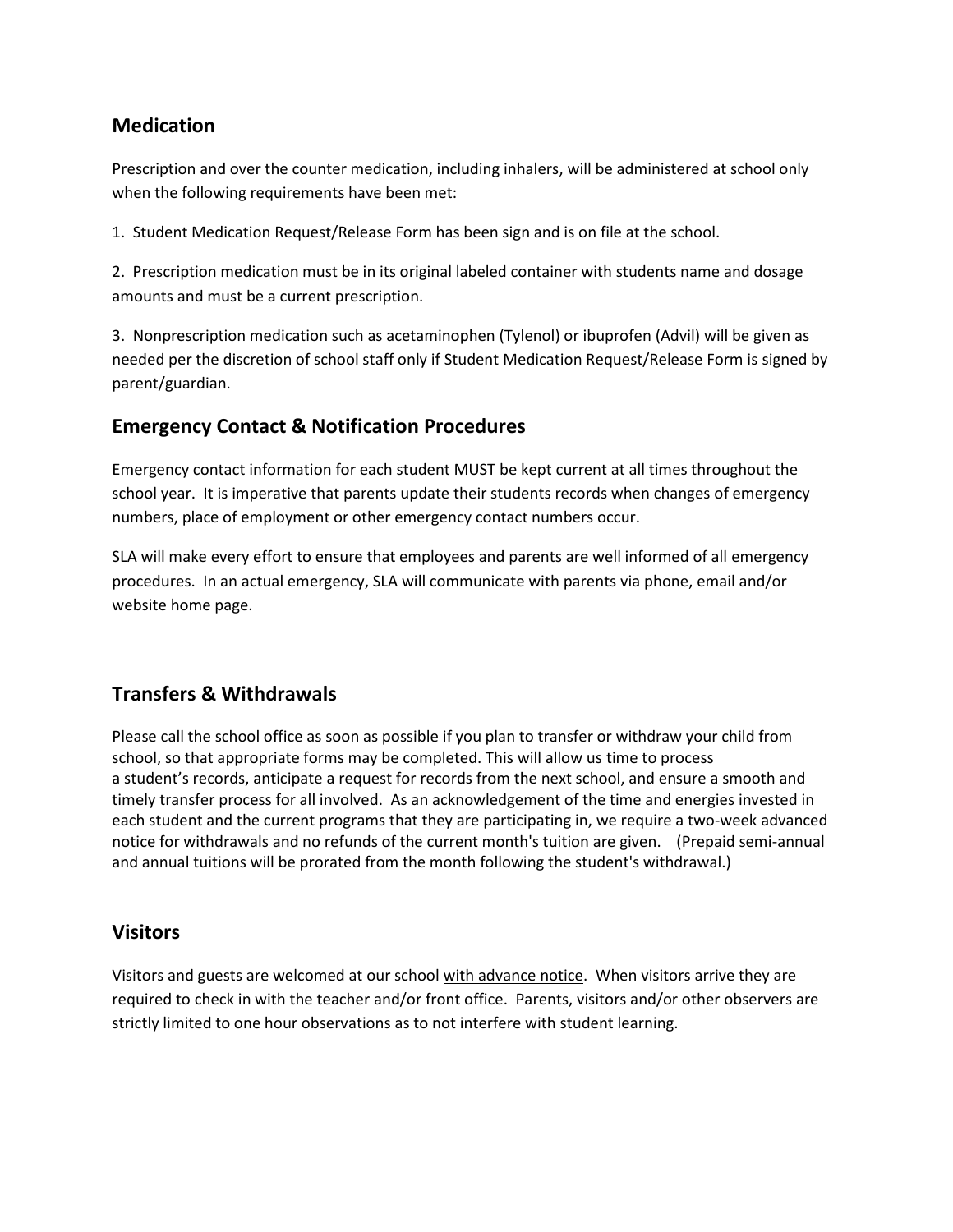# **Medication**

Prescription and over the counter medication, including inhalers, will be administered at school only when the following requirements have been met:

1. Student Medication Request/Release Form has been sign and is on file at the school.

2. Prescription medication must be in its original labeled container with students name and dosage amounts and must be a current prescription.

3. Nonprescription medication such as acetaminophen (Tylenol) or ibuprofen (Advil) will be given as needed per the discretion of school staff only if Student Medication Request/Release Form is signed by parent/guardian.

# **Emergency Contact & Notification Procedures**

Emergency contact information for each student MUST be kept current at all times throughout the school year. It is imperative that parents update their students records when changes of emergency numbers, place of employment or other emergency contact numbers occur.

SLA will make every effort to ensure that employees and parents are well informed of all emergency procedures. In an actual emergency, SLA will communicate with parents via phone, email and/or website home page.

# **Transfers & Withdrawals**

Please call the school office as soon as possible if you plan to transfer or withdraw your child from school, so that appropriate forms may be completed. This will allow us time to process a student's records, anticipate a request for records from the next school, and ensure a smooth and timely transfer process for all involved. As an acknowledgement of the time and energies invested in each student and the current programs that they are participating in, we require a two-week advanced notice for withdrawals and no refunds of the current month's tuition are given. (Prepaid semi-annual and annual tuitions will be prorated from the month following the student's withdrawal.)

# **Visitors**

Visitors and guests are welcomed at our school with advance notice. When visitors arrive they are required to check in with the teacher and/or front office. Parents, visitors and/or other observers are strictly limited to one hour observations as to not interfere with student learning.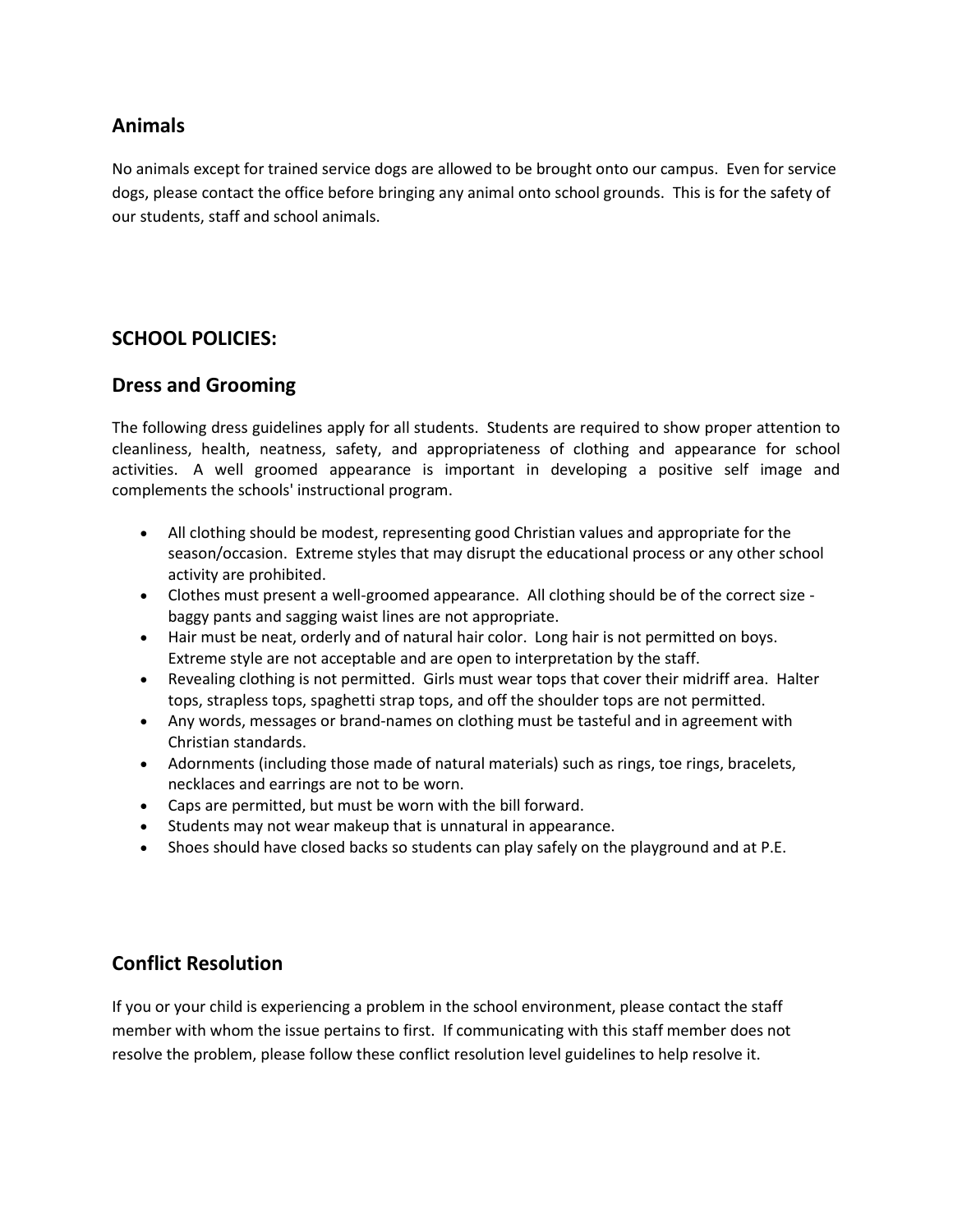# **Animals**

No animals except for trained service dogs are allowed to be brought onto our campus. Even for service dogs, please contact the office before bringing any animal onto school grounds. This is for the safety of our students, staff and school animals.

## **SCHOOL POLICIES:**

#### **Dress and Grooming**

The following dress guidelines apply for all students. Students are required to show proper attention to cleanliness, health, neatness, safety, and appropriateness of clothing and appearance for school activities. A well groomed appearance is important in developing a positive self image and complements the schools' instructional program.

- All clothing should be modest, representing good Christian values and appropriate for the season/occasion. Extreme styles that may disrupt the educational process or any other school activity are prohibited.
- Clothes must present a well-groomed appearance. All clothing should be of the correct size baggy pants and sagging waist lines are not appropriate.
- Hair must be neat, orderly and of natural hair color. Long hair is not permitted on boys. Extreme style are not acceptable and are open to interpretation by the staff.
- Revealing clothing is not permitted. Girls must wear tops that cover their midriff area. Halter tops, strapless tops, spaghetti strap tops, and off the shoulder tops are not permitted.
- Any words, messages or brand-names on clothing must be tasteful and in agreement with Christian standards.
- Adornments (including those made of natural materials) such as rings, toe rings, bracelets, necklaces and earrings are not to be worn.
- Caps are permitted, but must be worn with the bill forward.
- Students may not wear makeup that is unnatural in appearance.
- Shoes should have closed backs so students can play safely on the playground and at P.E.

# **Conflict Resolution**

If you or your child is experiencing a problem in the school environment, please contact the staff member with whom the issue pertains to first. If communicating with this staff member does not resolve the problem, please follow these conflict resolution level guidelines to help resolve it.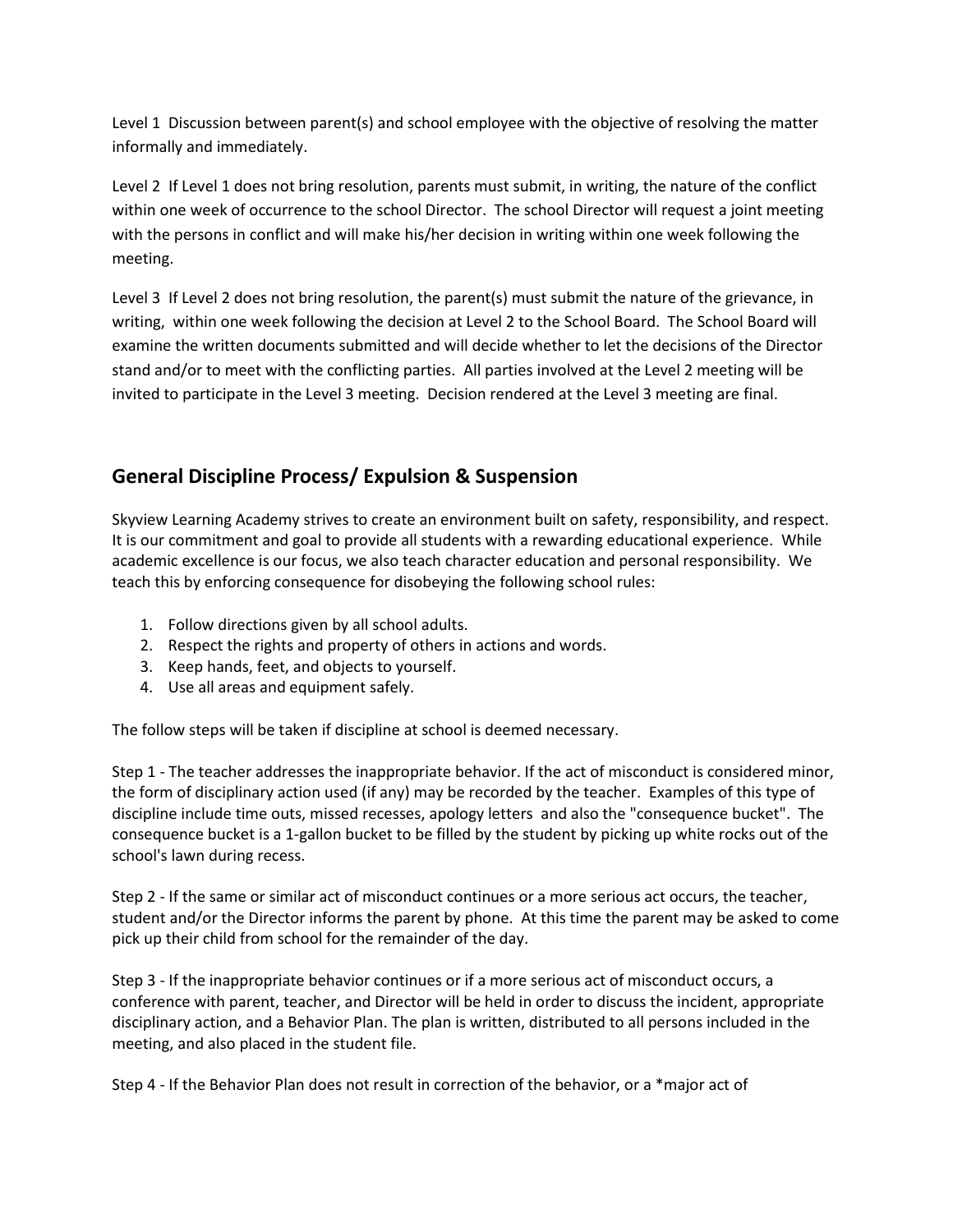Level 1 Discussion between parent(s) and school employee with the objective of resolving the matter informally and immediately.

Level 2 If Level 1 does not bring resolution, parents must submit, in writing, the nature of the conflict within one week of occurrence to the school Director. The school Director will request a joint meeting with the persons in conflict and will make his/her decision in writing within one week following the meeting.

Level 3 If Level 2 does not bring resolution, the parent(s) must submit the nature of the grievance, in writing, within one week following the decision at Level 2 to the School Board. The School Board will examine the written documents submitted and will decide whether to let the decisions of the Director stand and/or to meet with the conflicting parties. All parties involved at the Level 2 meeting will be invited to participate in the Level 3 meeting. Decision rendered at the Level 3 meeting are final.

# **General Discipline Process/ Expulsion & Suspension**

Skyview Learning Academy strives to create an environment built on safety, responsibility, and respect. It is our commitment and goal to provide all students with a rewarding educational experience. While academic excellence is our focus, we also teach character education and personal responsibility. We teach this by enforcing consequence for disobeying the following school rules:

- 1. Follow directions given by all school adults.
- 2. Respect the rights and property of others in actions and words.
- 3. Keep hands, feet, and objects to yourself.
- 4. Use all areas and equipment safely.

The follow steps will be taken if discipline at school is deemed necessary.

Step 1 - The teacher addresses the inappropriate behavior. If the act of misconduct is considered minor, the form of disciplinary action used (if any) may be recorded by the teacher. Examples of this type of discipline include time outs, missed recesses, apology letters and also the "consequence bucket". The consequence bucket is a 1-gallon bucket to be filled by the student by picking up white rocks out of the school's lawn during recess.

Step 2 - If the same or similar act of misconduct continues or a more serious act occurs, the teacher, student and/or the Director informs the parent by phone. At this time the parent may be asked to come pick up their child from school for the remainder of the day.

Step 3 - If the inappropriate behavior continues or if a more serious act of misconduct occurs, a conference with parent, teacher, and Director will be held in order to discuss the incident, appropriate disciplinary action, and a Behavior Plan. The plan is written, distributed to all persons included in the meeting, and also placed in the student file.

Step 4 - If the Behavior Plan does not result in correction of the behavior, or a \*major act of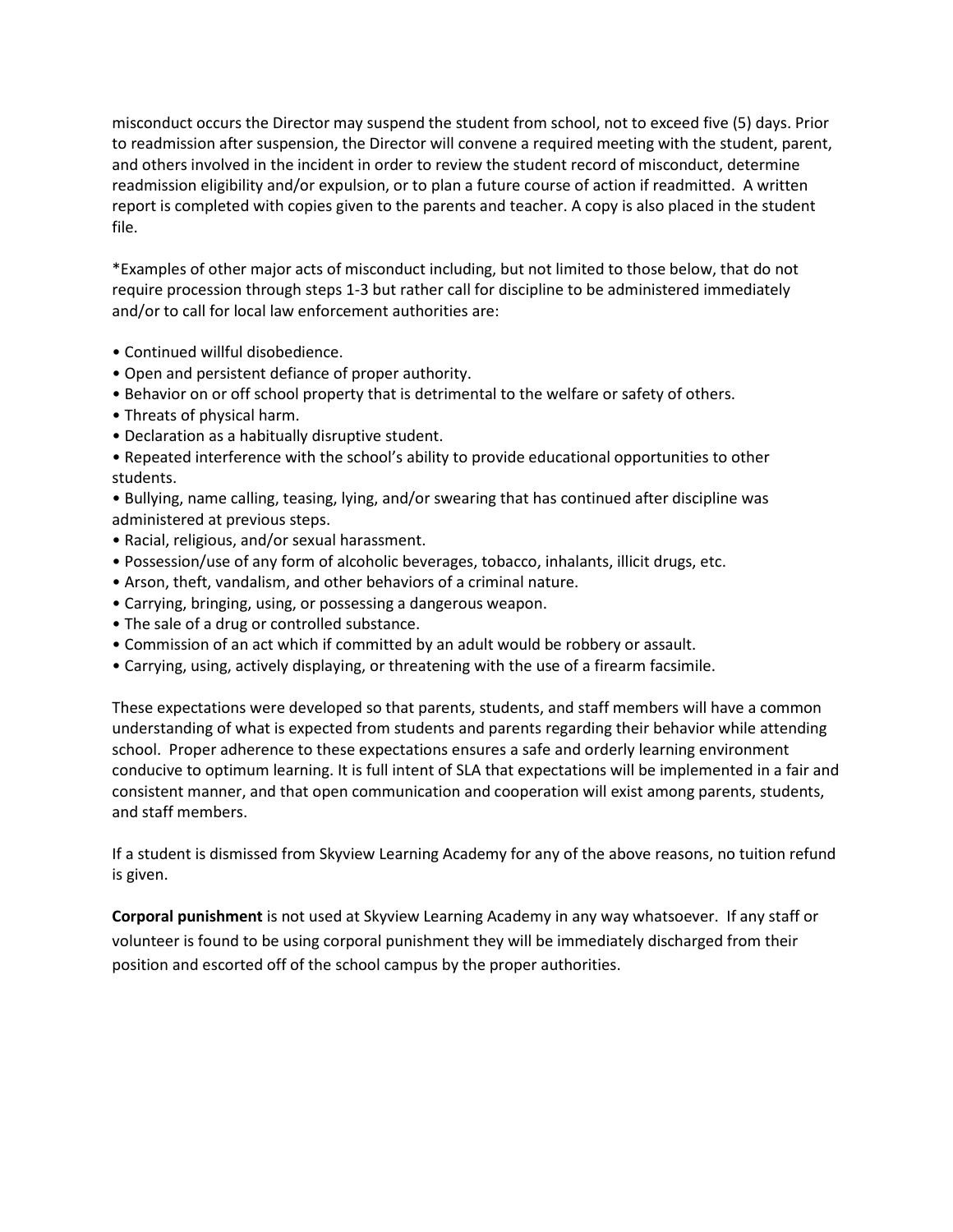misconduct occurs the Director may suspend the student from school, not to exceed five (5) days. Prior to readmission after suspension, the Director will convene a required meeting with the student, parent, and others involved in the incident in order to review the student record of misconduct, determine readmission eligibility and/or expulsion, or to plan a future course of action if readmitted. A written report is completed with copies given to the parents and teacher. A copy is also placed in the student file.

\*Examples of other major acts of misconduct including, but not limited to those below, that do not require procession through steps 1-3 but rather call for discipline to be administered immediately and/or to call for local law enforcement authorities are:

- Continued willful disobedience.
- Open and persistent defiance of proper authority.
- Behavior on or off school property that is detrimental to the welfare or safety of others.
- Threats of physical harm.
- Declaration as a habitually disruptive student.

• Repeated interference with the school's ability to provide educational opportunities to other students.

• Bullying, name calling, teasing, lying, and/or swearing that has continued after discipline was administered at previous steps.

- Racial, religious, and/or sexual harassment.
- Possession/use of any form of alcoholic beverages, tobacco, inhalants, illicit drugs, etc.
- Arson, theft, vandalism, and other behaviors of a criminal nature.
- Carrying, bringing, using, or possessing a dangerous weapon.
- The sale of a drug or controlled substance.
- Commission of an act which if committed by an adult would be robbery or assault.
- Carrying, using, actively displaying, or threatening with the use of a firearm facsimile.

These expectations were developed so that parents, students, and staff members will have a common understanding of what is expected from students and parents regarding their behavior while attending school. Proper adherence to these expectations ensures a safe and orderly learning environment conducive to optimum learning. It is full intent of SLA that expectations will be implemented in a fair and consistent manner, and that open communication and cooperation will exist among parents, students, and staff members.

If a student is dismissed from Skyview Learning Academy for any of the above reasons, no tuition refund is given.

**Corporal punishment** is not used at Skyview Learning Academy in any way whatsoever. If any staff or volunteer is found to be using corporal punishment they will be immediately discharged from their position and escorted off of the school campus by the proper authorities.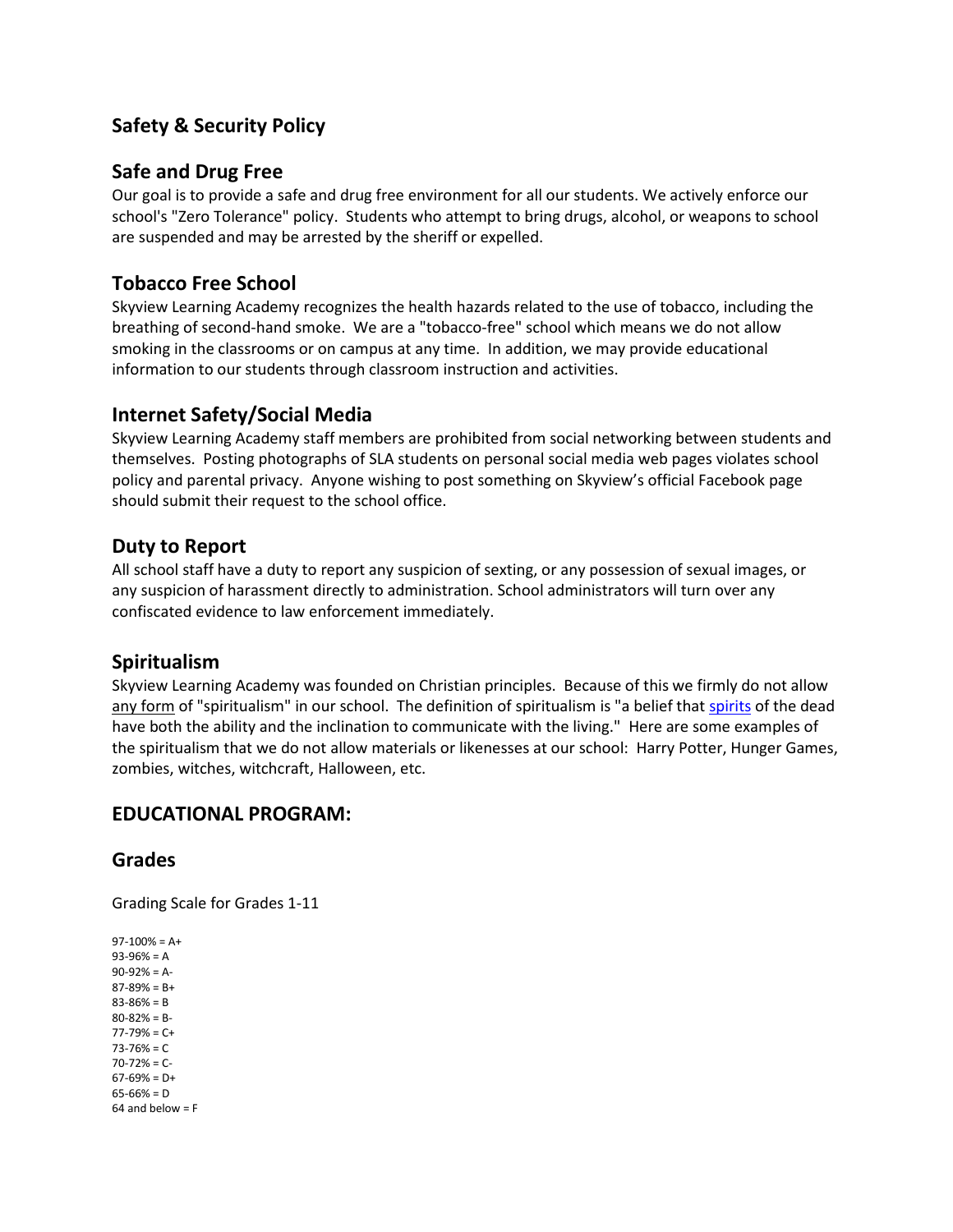# **Safety & Security Policy**

## **Safe and Drug Free**

Our goal is to provide a safe and drug free environment for all our students. We actively enforce our school's "Zero Tolerance" policy. Students who attempt to bring drugs, alcohol, or weapons to school are suspended and may be arrested by the sheriff or expelled.

## **Tobacco Free School**

Skyview Learning Academy recognizes the health hazards related to the use of tobacco, including the breathing of second-hand smoke. We are a "tobacco-free" school which means we do not allow smoking in the classrooms or on campus at any time. In addition, we may provide educational information to our students through classroom instruction and activities.

## **Internet Safety/Social Media**

Skyview Learning Academy staff members are prohibited from social networking between students and themselves. Posting photographs of SLA students on personal social media web pages violates school policy and parental privacy. Anyone wishing to post something on Skyview's official Facebook page should submit their request to the school office.

## **Duty to Report**

All school staff have a duty to report any suspicion of sexting, or any possession of sexual images, or any suspicion of harassment directly to administration. School administrators will turn over any confiscated evidence to law enforcement immediately.

#### **Spiritualism**

Skyview Learning Academy was founded on Christian principles. Because of this we firmly do not allow any form of "spiritualism" in our school. The definition of spiritualism is "a belief tha[t spirits](http://en.wikipedia.org/wiki/Spirit) of the dead have both the ability and the inclination to communicate with the living." Here are some examples of the spiritualism that we do not allow materials or likenesses at our school: Harry Potter, Hunger Games, zombies, witches, witchcraft, Halloween, etc.

#### **EDUCATIONAL PROGRAM:**

#### **Grades**

Grading Scale for Grades 1-11

 $97-100% = A+$ 93-96% = A 90-92% = A-87-89% = B+ 83-86% = B 80-82% = B- $77-79% = C+$  $73 - 76% = C$ 70-72% = C- $67-69% = D+$  $65 - 66\% = D$  $64$  and below =  $F$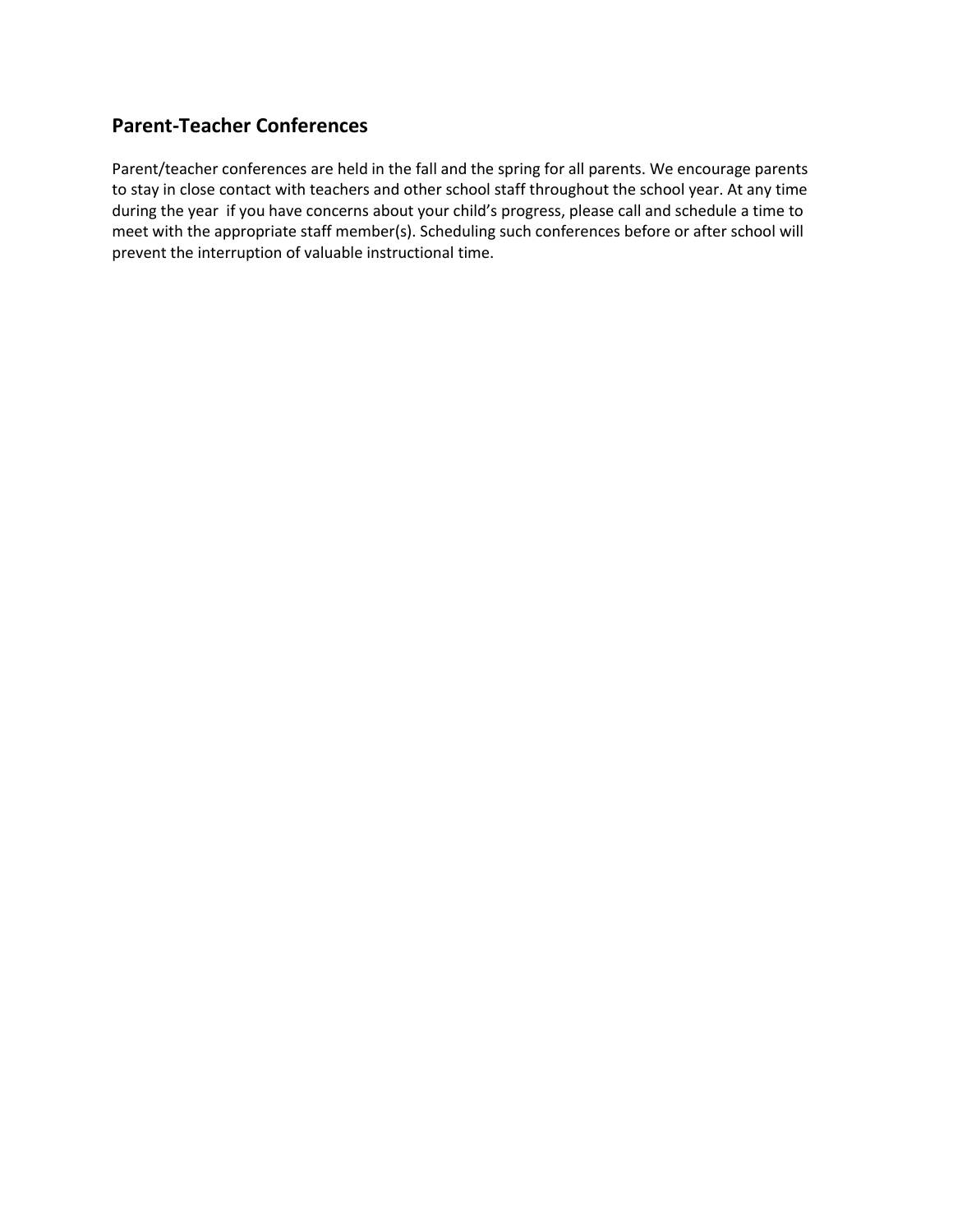# **Parent-Teacher Conferences**

Parent/teacher conferences are held in the fall and the spring for all parents. We encourage parents to stay in close contact with teachers and other school staff throughout the school year. At any time during the year if you have concerns about your child's progress, please call and schedule a time to meet with the appropriate staff member(s). Scheduling such conferences before or after school will prevent the interruption of valuable instructional time.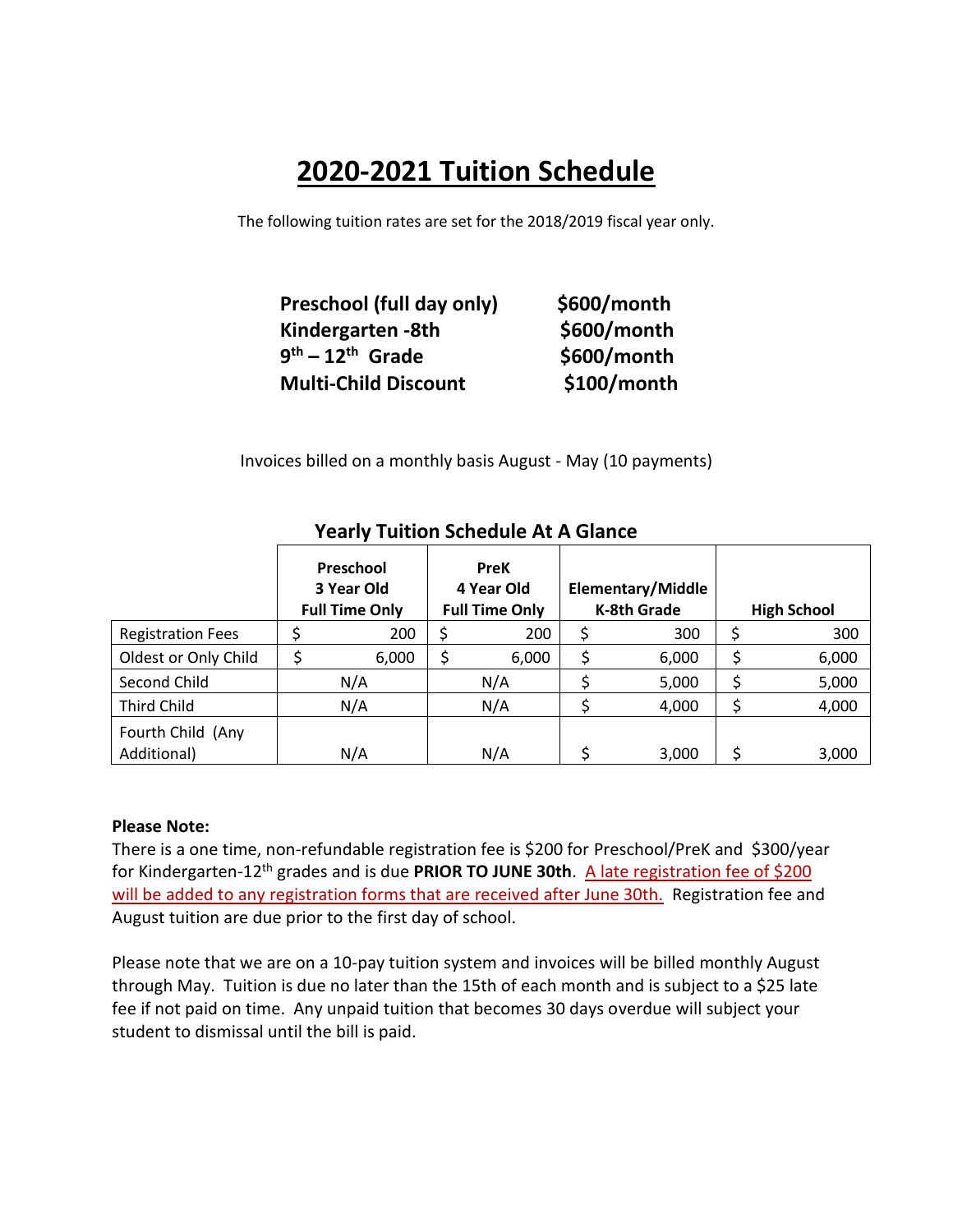# **2020-2021 Tuition Schedule**

The following tuition rates are set for the 2018/2019 fiscal year only.

| Preschool (full day only)   | \$600/month |
|-----------------------------|-------------|
| Kindergarten -8th           | \$600/month |
| $9th - 12th$ Grade          | \$600/month |
| <b>Multi-Child Discount</b> | \$100/month |

Invoices billed on a monthly basis August - May (10 payments)

|                                  | Preschool<br>3 Year Old<br><b>Full Time Only</b> | <b>PreK</b><br>4 Year Old<br><b>Full Time Only</b> | <b>Elementary/Middle</b><br><b>K-8th Grade</b> | <b>High School</b> |
|----------------------------------|--------------------------------------------------|----------------------------------------------------|------------------------------------------------|--------------------|
| <b>Registration Fees</b>         | 200                                              | 200                                                | 300                                            | 300                |
| Oldest or Only Child             | \$<br>6,000                                      | 6,000                                              | \$<br>6,000                                    | 6,000              |
| Second Child                     | N/A                                              | N/A                                                | 5,000                                          | 5,000              |
| <b>Third Child</b>               | N/A                                              | N/A                                                | 4,000                                          | 4,000              |
| Fourth Child (Any<br>Additional) | N/A                                              | N/A                                                | 3,000                                          | 3,000              |

# **Yearly Tuition Schedule At A Glance**

#### **Please Note:**

There is a one time, non-refundable registration fee is \$200 for Preschool/PreK and \$300/year for Kindergarten-12th grades and is due **PRIOR TO JUNE 30th**. A late registration fee of \$200 will be added to any registration forms that are received after June 30th. Registration fee and August tuition are due prior to the first day of school.

Please note that we are on a 10-pay tuition system and invoices will be billed monthly August through May. Tuition is due no later than the 15th of each month and is subject to a \$25 late fee if not paid on time. Any unpaid tuition that becomes 30 days overdue will subject your student to dismissal until the bill is paid.